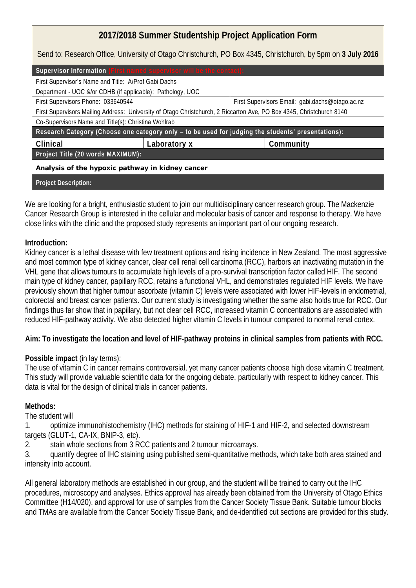**2017/2018 Summer Studentship Project Application Form** Send to: Research Office, University of Otago Christchurch, PO Box 4345, Christchurch, by 5pm on **3 July 2016 Supervisor Information** First Supervisor's Name and Title: A/Prof Gabi Dachs Department - UOC &/or CDHB (if applicable): Pathology, UOC First Supervisors Phone: 033640544 First Supervisors Email: gabi.dachs@otago.ac.nz First Supervisors Mailing Address: University of Otago Christchurch, 2 Riccarton Ave, PO Box 4345, Christchurch 8140 Co-Supervisors Name and Title(s): Christina Wohlrab **R**esearch Category (Choose one category only **– to be used for judging the students' presentations): Clinical Laboratory x Community Project Title (20 words MAXIMUM): Analysis of the hypoxic pathway in kidney cancer Project Description:**

We are looking for a bright, enthusiastic student to join our multidisciplinary cancer research group. The Mackenzie Cancer Research Group is interested in the cellular and molecular basis of cancer and response to therapy. We have close links with the clinic and the proposed study represents an important part of our ongoing research.

## **Introduction:**

Kidney cancer is a lethal disease with few treatment options and rising incidence in New Zealand. The most aggressive and most common type of kidney cancer, clear cell renal cell carcinoma (RCC), harbors an inactivating mutation in the VHL gene that allows tumours to accumulate high levels of a pro-survival transcription factor called HIF. The second main type of kidney cancer, papillary RCC, retains a functional VHL, and demonstrates regulated HIF levels. We have previously shown that higher tumour ascorbate (vitamin C) levels were associated with lower HIF-levels in endometrial, colorectal and breast cancer patients. Our current study is investigating whether the same also holds true for RCC. Our findings thus far show that in papillary, but not clear cell RCC, increased vitamin C concentrations are associated with reduced HIF-pathway activity. We also detected higher vitamin C levels in tumour compared to normal renal cortex.

**Aim: To investigate the location and level of HIF-pathway proteins in clinical samples from patients with RCC.** 

## **Possible impact** (in lay terms):

The use of vitamin C in cancer remains controversial, yet many cancer patients choose high dose vitamin C treatment. This study will provide valuable scientific data for the ongoing debate, particularly with respect to kidney cancer. This data is vital for the design of clinical trials in cancer patients.

## **Methods:**

The student will

1. optimize immunohistochemistry (IHC) methods for staining of HIF-1 and HIF-2, and selected downstream targets (GLUT-1, CA-IX, BNIP-3, etc).

2. stain whole sections from 3 RCC patients and 2 tumour microarrays.

3. quantify degree of IHC staining using published semi-quantitative methods, which take both area stained and intensity into account.

All general laboratory methods are established in our group, and the student will be trained to carry out the IHC procedures, microscopy and analyses. Ethics approval has already been obtained from the University of Otago Ethics Committee (H14/020), and approval for use of samples from the Cancer Society Tissue Bank. Suitable tumour blocks and TMAs are available from the Cancer Society Tissue Bank, and de-identified cut sections are provided for this study.